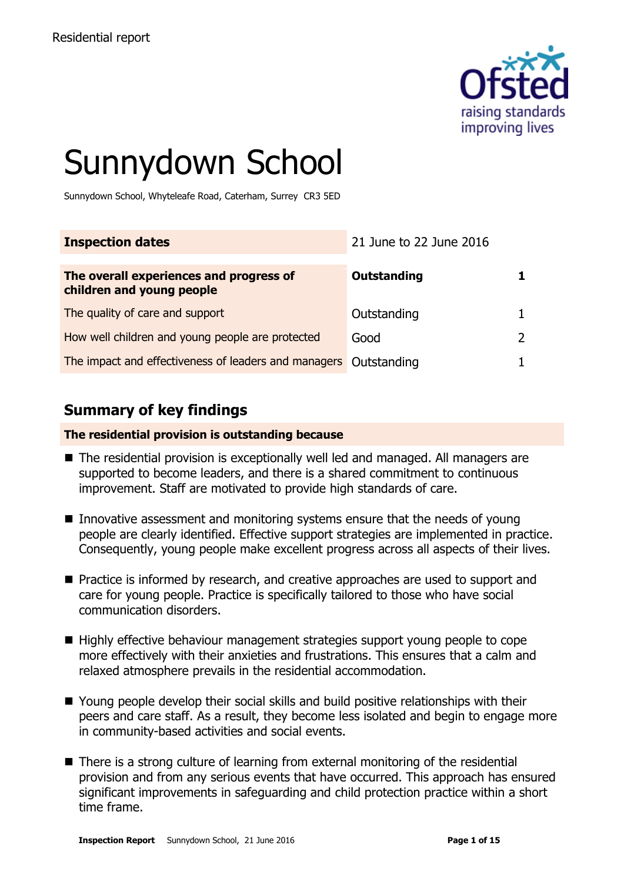

# Sunnydown School

Sunnydown School, Whyteleafe Road, Caterham, Surrey CR3 5ED

| <b>Inspection dates</b>                                              | 21 June to 22 June 2016 |  |
|----------------------------------------------------------------------|-------------------------|--|
| The overall experiences and progress of<br>children and young people | Outstanding             |  |
| The quality of care and support                                      | Outstanding             |  |
| How well children and young people are protected                     | Good                    |  |
| The impact and effectiveness of leaders and managers Outstanding     |                         |  |

# **Summary of key findings**

#### **The residential provision is outstanding because**

- The residential provision is exceptionally well led and managed. All managers are supported to become leaders, and there is a shared commitment to continuous improvement. Staff are motivated to provide high standards of care.
- Innovative assessment and monitoring systems ensure that the needs of young people are clearly identified. Effective support strategies are implemented in practice. Consequently, young people make excellent progress across all aspects of their lives.
- **Practice is informed by research, and creative approaches are used to support and** care for young people. Practice is specifically tailored to those who have social communication disorders.
- Highly effective behaviour management strategies support young people to cope more effectively with their anxieties and frustrations. This ensures that a calm and relaxed atmosphere prevails in the residential accommodation.
- Young people develop their social skills and build positive relationships with their peers and care staff. As a result, they become less isolated and begin to engage more in community-based activities and social events.
- There is a strong culture of learning from external monitoring of the residential provision and from any serious events that have occurred. This approach has ensured significant improvements in safeguarding and child protection practice within a short time frame.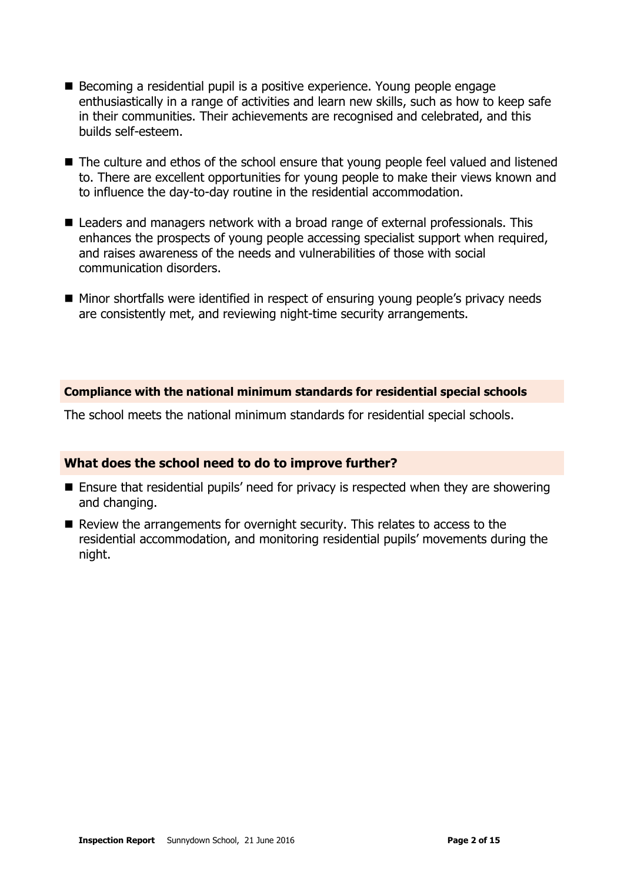- Becoming a residential pupil is a positive experience. Young people engage enthusiastically in a range of activities and learn new skills, such as how to keep safe in their communities. Their achievements are recognised and celebrated, and this builds self-esteem.
- The culture and ethos of the school ensure that young people feel valued and listened to. There are excellent opportunities for young people to make their views known and to influence the day-to-day routine in the residential accommodation.
- Leaders and managers network with a broad range of external professionals. This enhances the prospects of young people accessing specialist support when required, and raises awareness of the needs and vulnerabilities of those with social communication disorders.
- Minor shortfalls were identified in respect of ensuring young people's privacy needs are consistently met, and reviewing night-time security arrangements.

#### **Compliance with the national minimum standards for residential special schools**

The school meets the national minimum standards for residential special schools.

#### **What does the school need to do to improve further?**

- Ensure that residential pupils' need for privacy is respected when they are showering and changing.
- Review the arrangements for overnight security. This relates to access to the residential accommodation, and monitoring residential pupils' movements during the night.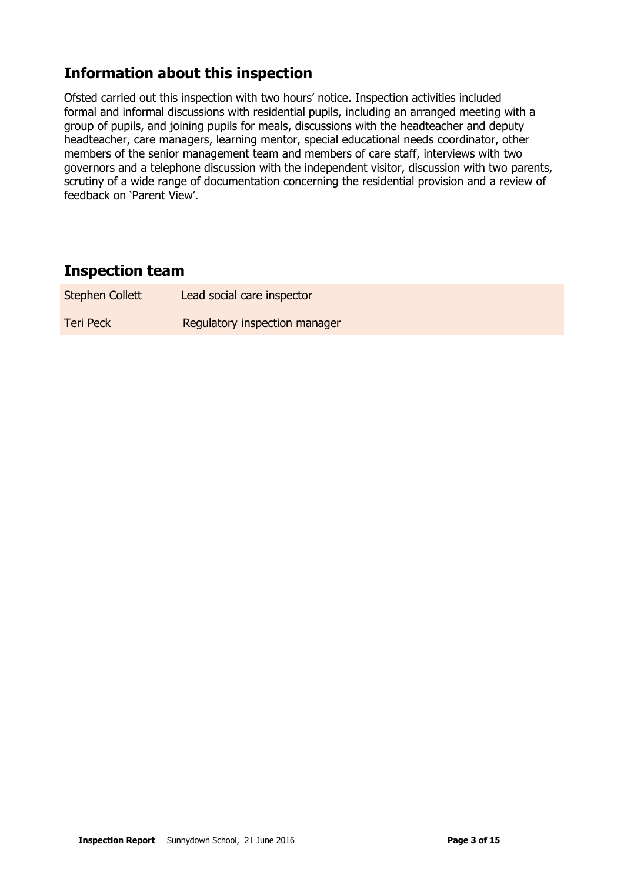# **Information about this inspection**

Ofsted carried out this inspection with two hours' notice. Inspection activities included formal and informal discussions with residential pupils, including an arranged meeting with a group of pupils, and joining pupils for meals, discussions with the headteacher and deputy headteacher, care managers, learning mentor, special educational needs coordinator, other members of the senior management team and members of care staff, interviews with two governors and a telephone discussion with the independent visitor, discussion with two parents, scrutiny of a wide range of documentation concerning the residential provision and a review of feedback on 'Parent View'.

# **Inspection team**

| Stephen Collett | Lead social care inspector    |
|-----------------|-------------------------------|
| Teri Peck       | Regulatory inspection manager |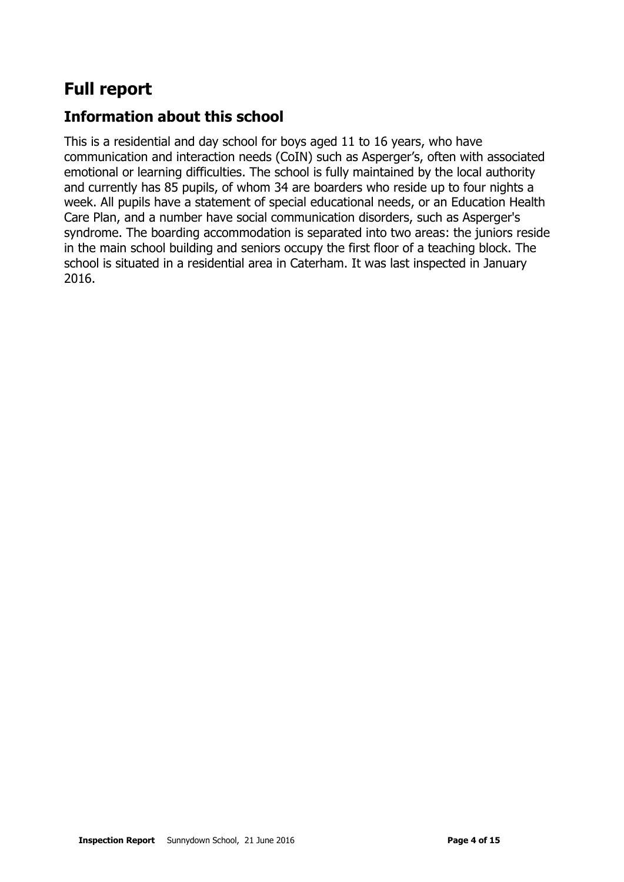# **Full report**

# **Information about this school**

This is a residential and day school for boys aged 11 to 16 years, who have communication and interaction needs (CoIN) such as Asperger's, often with associated emotional or learning difficulties. The school is fully maintained by the local authority and currently has 85 pupils, of whom 34 are boarders who reside up to four nights a week. All pupils have a statement of special educational needs, or an Education Health Care Plan, and a number have social communication disorders, such as Asperger's syndrome. The boarding accommodation is separated into two areas: the juniors reside in the main school building and seniors occupy the first floor of a teaching block. The school is situated in a residential area in Caterham. It was last inspected in January 2016.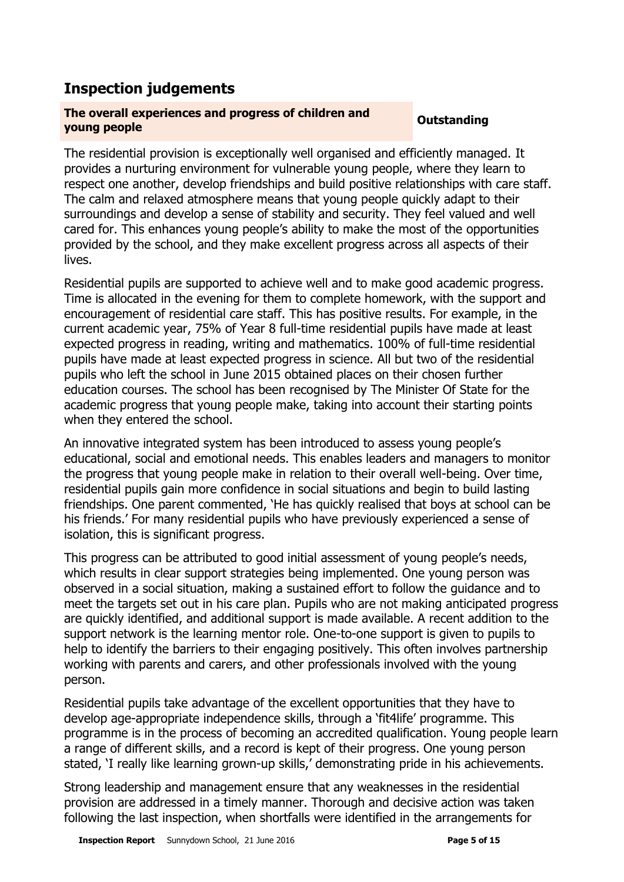# **Inspection judgements**

#### **The overall experiences and progress of children and young people Outstanding**

The residential provision is exceptionally well organised and efficiently managed. It provides a nurturing environment for vulnerable young people, where they learn to respect one another, develop friendships and build positive relationships with care staff. The calm and relaxed atmosphere means that young people quickly adapt to their surroundings and develop a sense of stability and security. They feel valued and well cared for. This enhances young people's ability to make the most of the opportunities provided by the school, and they make excellent progress across all aspects of their lives.

Residential pupils are supported to achieve well and to make good academic progress. Time is allocated in the evening for them to complete homework, with the support and encouragement of residential care staff. This has positive results. For example, in the current academic year, 75% of Year 8 full-time residential pupils have made at least expected progress in reading, writing and mathematics. 100% of full-time residential pupils have made at least expected progress in science. All but two of the residential pupils who left the school in June 2015 obtained places on their chosen further education courses. The school has been recognised by The Minister Of State for the academic progress that young people make, taking into account their starting points when they entered the school.

An innovative integrated system has been introduced to assess young people's educational, social and emotional needs. This enables leaders and managers to monitor the progress that young people make in relation to their overall well-being. Over time, residential pupils gain more confidence in social situations and begin to build lasting friendships. One parent commented, 'He has quickly realised that boys at school can be his friends.' For many residential pupils who have previously experienced a sense of isolation, this is significant progress.

This progress can be attributed to good initial assessment of young people's needs, which results in clear support strategies being implemented. One young person was observed in a social situation, making a sustained effort to follow the guidance and to meet the targets set out in his care plan. Pupils who are not making anticipated progress are quickly identified, and additional support is made available. A recent addition to the support network is the learning mentor role. One-to-one support is given to pupils to help to identify the barriers to their engaging positively. This often involves partnership working with parents and carers, and other professionals involved with the young person.

Residential pupils take advantage of the excellent opportunities that they have to develop age-appropriate independence skills, through a 'fit4life' programme. This programme is in the process of becoming an accredited qualification. Young people learn a range of different skills, and a record is kept of their progress. One young person stated, 'I really like learning grown-up skills,' demonstrating pride in his achievements.

Strong leadership and management ensure that any weaknesses in the residential provision are addressed in a timely manner. Thorough and decisive action was taken following the last inspection, when shortfalls were identified in the arrangements for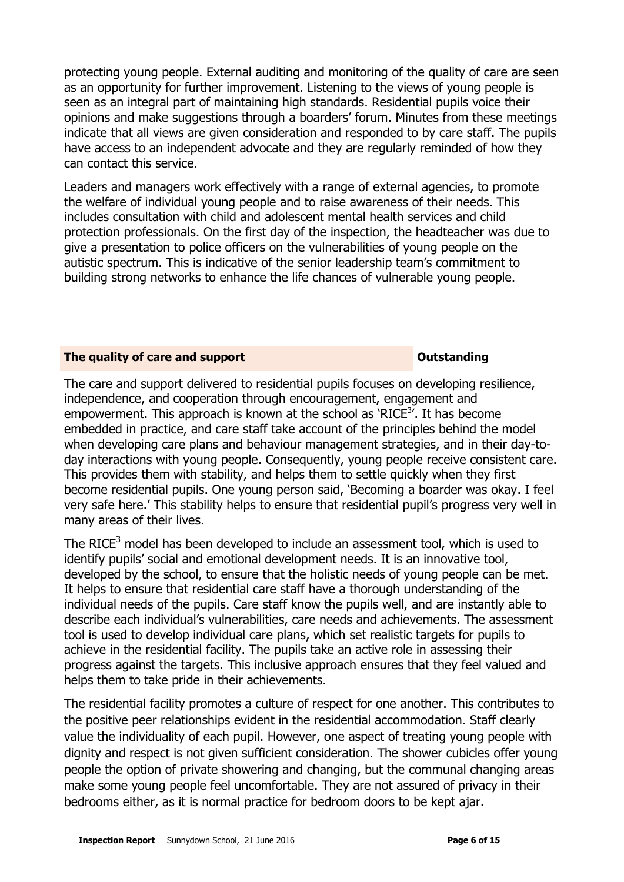protecting young people. External auditing and monitoring of the quality of care are seen as an opportunity for further improvement. Listening to the views of young people is seen as an integral part of maintaining high standards. Residential pupils voice their opinions and make suggestions through a boarders' forum. Minutes from these meetings indicate that all views are given consideration and responded to by care staff. The pupils have access to an independent advocate and they are regularly reminded of how they can contact this service.

Leaders and managers work effectively with a range of external agencies, to promote the welfare of individual young people and to raise awareness of their needs. This includes consultation with child and adolescent mental health services and child protection professionals. On the first day of the inspection, the headteacher was due to give a presentation to police officers on the vulnerabilities of young people on the autistic spectrum. This is indicative of the senior leadership team's commitment to building strong networks to enhance the life chances of vulnerable young people.

#### **The quality of care and support CONSTANDING CONSTANDING CONSTANDING CONSTANDING CONSTANDING CONSTANDING CONSTANDING CONSTANDING CONSTANDING CONSTANDING CONSTANDING CONSTANDING CONSTANDING CONSTANDING CONSTANDING CONSTAN**

The care and support delivered to residential pupils focuses on developing resilience, independence, and cooperation through encouragement, engagement and empowerment. This approach is known at the school as 'RICE<sup>3</sup>'. It has become embedded in practice, and care staff take account of the principles behind the model when developing care plans and behaviour management strategies, and in their day-today interactions with young people. Consequently, young people receive consistent care. This provides them with stability, and helps them to settle quickly when they first become residential pupils. One young person said, 'Becoming a boarder was okay. I feel very safe here.' This stability helps to ensure that residential pupil's progress very well in many areas of their lives.

The RICE<sup>3</sup> model has been developed to include an assessment tool, which is used to identify pupils' social and emotional development needs. It is an innovative tool, developed by the school, to ensure that the holistic needs of young people can be met. It helps to ensure that residential care staff have a thorough understanding of the individual needs of the pupils. Care staff know the pupils well, and are instantly able to describe each individual's vulnerabilities, care needs and achievements. The assessment tool is used to develop individual care plans, which set realistic targets for pupils to achieve in the residential facility. The pupils take an active role in assessing their progress against the targets. This inclusive approach ensures that they feel valued and helps them to take pride in their achievements.

The residential facility promotes a culture of respect for one another. This contributes to the positive peer relationships evident in the residential accommodation. Staff clearly value the individuality of each pupil. However, one aspect of treating young people with dignity and respect is not given sufficient consideration. The shower cubicles offer young people the option of private showering and changing, but the communal changing areas make some young people feel uncomfortable. They are not assured of privacy in their bedrooms either, as it is normal practice for bedroom doors to be kept ajar.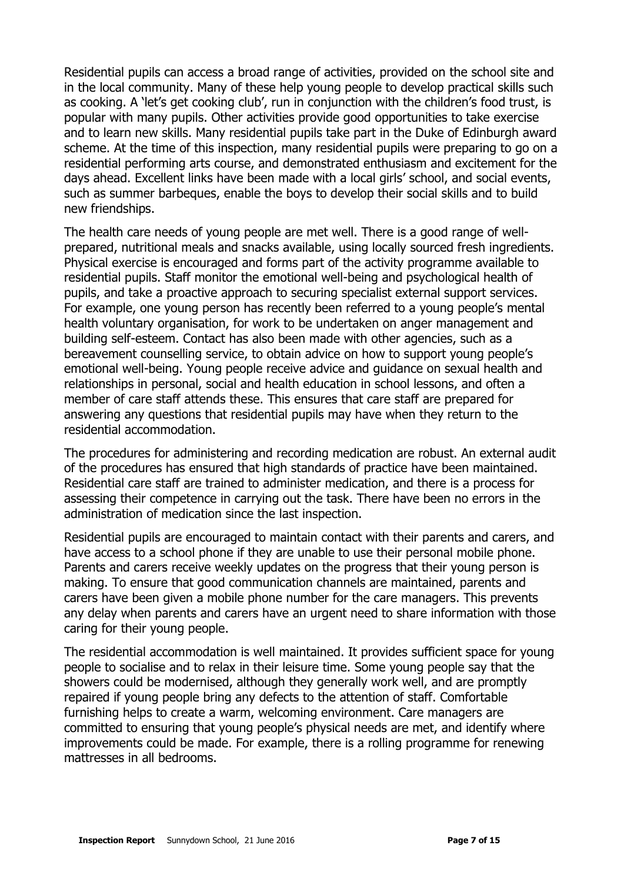Residential pupils can access a broad range of activities, provided on the school site and in the local community. Many of these help young people to develop practical skills such as cooking. A 'let's get cooking club', run in conjunction with the children's food trust, is popular with many pupils. Other activities provide good opportunities to take exercise and to learn new skills. Many residential pupils take part in the Duke of Edinburgh award scheme. At the time of this inspection, many residential pupils were preparing to go on a residential performing arts course, and demonstrated enthusiasm and excitement for the days ahead. Excellent links have been made with a local girls' school, and social events, such as summer barbeques, enable the boys to develop their social skills and to build new friendships.

The health care needs of young people are met well. There is a good range of wellprepared, nutritional meals and snacks available, using locally sourced fresh ingredients. Physical exercise is encouraged and forms part of the activity programme available to residential pupils. Staff monitor the emotional well-being and psychological health of pupils, and take a proactive approach to securing specialist external support services. For example, one young person has recently been referred to a young people's mental health voluntary organisation, for work to be undertaken on anger management and building self-esteem. Contact has also been made with other agencies, such as a bereavement counselling service, to obtain advice on how to support young people's emotional well-being. Young people receive advice and guidance on sexual health and relationships in personal, social and health education in school lessons, and often a member of care staff attends these. This ensures that care staff are prepared for answering any questions that residential pupils may have when they return to the residential accommodation.

The procedures for administering and recording medication are robust. An external audit of the procedures has ensured that high standards of practice have been maintained. Residential care staff are trained to administer medication, and there is a process for assessing their competence in carrying out the task. There have been no errors in the administration of medication since the last inspection.

Residential pupils are encouraged to maintain contact with their parents and carers, and have access to a school phone if they are unable to use their personal mobile phone. Parents and carers receive weekly updates on the progress that their young person is making. To ensure that good communication channels are maintained, parents and carers have been given a mobile phone number for the care managers. This prevents any delay when parents and carers have an urgent need to share information with those caring for their young people.

The residential accommodation is well maintained. It provides sufficient space for young people to socialise and to relax in their leisure time. Some young people say that the showers could be modernised, although they generally work well, and are promptly repaired if young people bring any defects to the attention of staff. Comfortable furnishing helps to create a warm, welcoming environment. Care managers are committed to ensuring that young people's physical needs are met, and identify where improvements could be made. For example, there is a rolling programme for renewing mattresses in all bedrooms.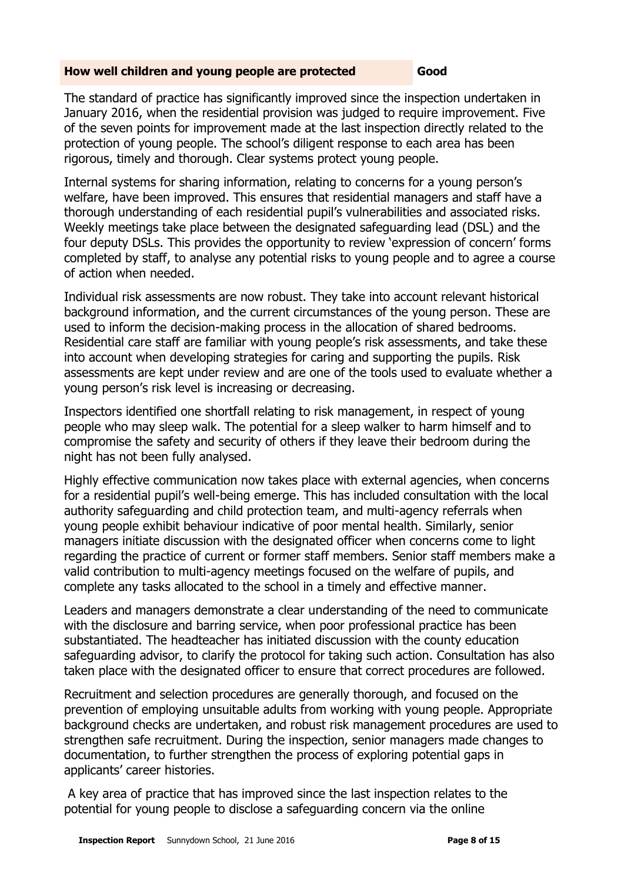#### **How well children and young people are protected <b>Good**

The standard of practice has significantly improved since the inspection undertaken in January 2016, when the residential provision was judged to require improvement. Five of the seven points for improvement made at the last inspection directly related to the protection of young people. The school's diligent response to each area has been rigorous, timely and thorough. Clear systems protect young people.

Internal systems for sharing information, relating to concerns for a young person's welfare, have been improved. This ensures that residential managers and staff have a thorough understanding of each residential pupil's vulnerabilities and associated risks. Weekly meetings take place between the designated safeguarding lead (DSL) and the four deputy DSLs. This provides the opportunity to review 'expression of concern' forms completed by staff, to analyse any potential risks to young people and to agree a course of action when needed.

Individual risk assessments are now robust. They take into account relevant historical background information, and the current circumstances of the young person. These are used to inform the decision-making process in the allocation of shared bedrooms. Residential care staff are familiar with young people's risk assessments, and take these into account when developing strategies for caring and supporting the pupils. Risk assessments are kept under review and are one of the tools used to evaluate whether a young person's risk level is increasing or decreasing.

Inspectors identified one shortfall relating to risk management, in respect of young people who may sleep walk. The potential for a sleep walker to harm himself and to compromise the safety and security of others if they leave their bedroom during the night has not been fully analysed.

Highly effective communication now takes place with external agencies, when concerns for a residential pupil's well-being emerge. This has included consultation with the local authority safeguarding and child protection team, and multi-agency referrals when young people exhibit behaviour indicative of poor mental health. Similarly, senior managers initiate discussion with the designated officer when concerns come to light regarding the practice of current or former staff members. Senior staff members make a valid contribution to multi-agency meetings focused on the welfare of pupils, and complete any tasks allocated to the school in a timely and effective manner.

Leaders and managers demonstrate a clear understanding of the need to communicate with the disclosure and barring service, when poor professional practice has been substantiated. The headteacher has initiated discussion with the county education safeguarding advisor, to clarify the protocol for taking such action. Consultation has also taken place with the designated officer to ensure that correct procedures are followed.

Recruitment and selection procedures are generally thorough, and focused on the prevention of employing unsuitable adults from working with young people. Appropriate background checks are undertaken, and robust risk management procedures are used to strengthen safe recruitment. During the inspection, senior managers made changes to documentation, to further strengthen the process of exploring potential gaps in applicants' career histories.

A key area of practice that has improved since the last inspection relates to the potential for young people to disclose a safeguarding concern via the online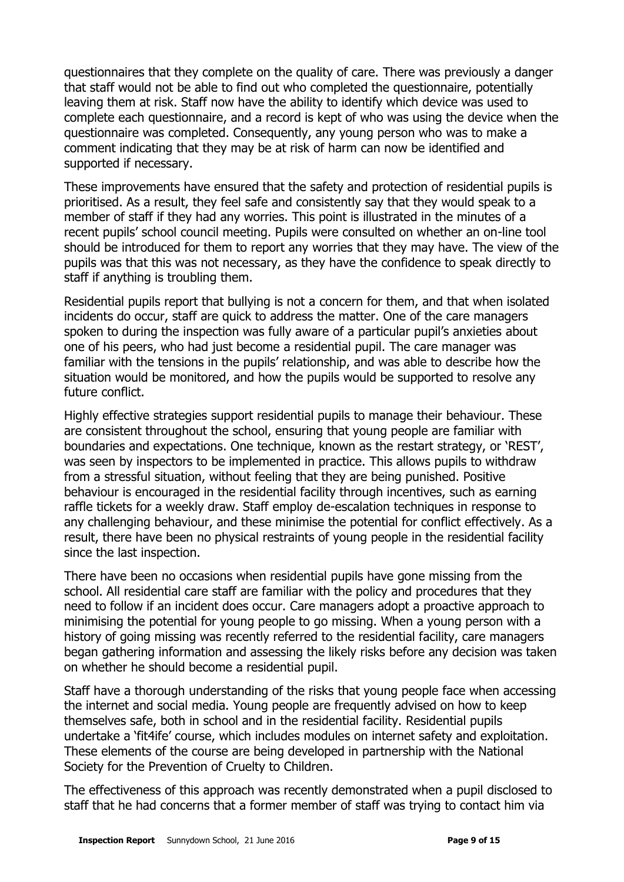questionnaires that they complete on the quality of care. There was previously a danger that staff would not be able to find out who completed the questionnaire, potentially leaving them at risk. Staff now have the ability to identify which device was used to complete each questionnaire, and a record is kept of who was using the device when the questionnaire was completed. Consequently, any young person who was to make a comment indicating that they may be at risk of harm can now be identified and supported if necessary.

These improvements have ensured that the safety and protection of residential pupils is prioritised. As a result, they feel safe and consistently say that they would speak to a member of staff if they had any worries. This point is illustrated in the minutes of a recent pupils' school council meeting. Pupils were consulted on whether an on-line tool should be introduced for them to report any worries that they may have. The view of the pupils was that this was not necessary, as they have the confidence to speak directly to staff if anything is troubling them.

Residential pupils report that bullying is not a concern for them, and that when isolated incidents do occur, staff are quick to address the matter. One of the care managers spoken to during the inspection was fully aware of a particular pupil's anxieties about one of his peers, who had just become a residential pupil. The care manager was familiar with the tensions in the pupils' relationship, and was able to describe how the situation would be monitored, and how the pupils would be supported to resolve any future conflict.

Highly effective strategies support residential pupils to manage their behaviour. These are consistent throughout the school, ensuring that young people are familiar with boundaries and expectations. One technique, known as the restart strategy, or 'REST', was seen by inspectors to be implemented in practice. This allows pupils to withdraw from a stressful situation, without feeling that they are being punished. Positive behaviour is encouraged in the residential facility through incentives, such as earning raffle tickets for a weekly draw. Staff employ de-escalation techniques in response to any challenging behaviour, and these minimise the potential for conflict effectively. As a result, there have been no physical restraints of young people in the residential facility since the last inspection.

There have been no occasions when residential pupils have gone missing from the school. All residential care staff are familiar with the policy and procedures that they need to follow if an incident does occur. Care managers adopt a proactive approach to minimising the potential for young people to go missing. When a young person with a history of going missing was recently referred to the residential facility, care managers began gathering information and assessing the likely risks before any decision was taken on whether he should become a residential pupil.

Staff have a thorough understanding of the risks that young people face when accessing the internet and social media. Young people are frequently advised on how to keep themselves safe, both in school and in the residential facility. Residential pupils undertake a 'fit4ife' course, which includes modules on internet safety and exploitation. These elements of the course are being developed in partnership with the National Society for the Prevention of Cruelty to Children.

The effectiveness of this approach was recently demonstrated when a pupil disclosed to staff that he had concerns that a former member of staff was trying to contact him via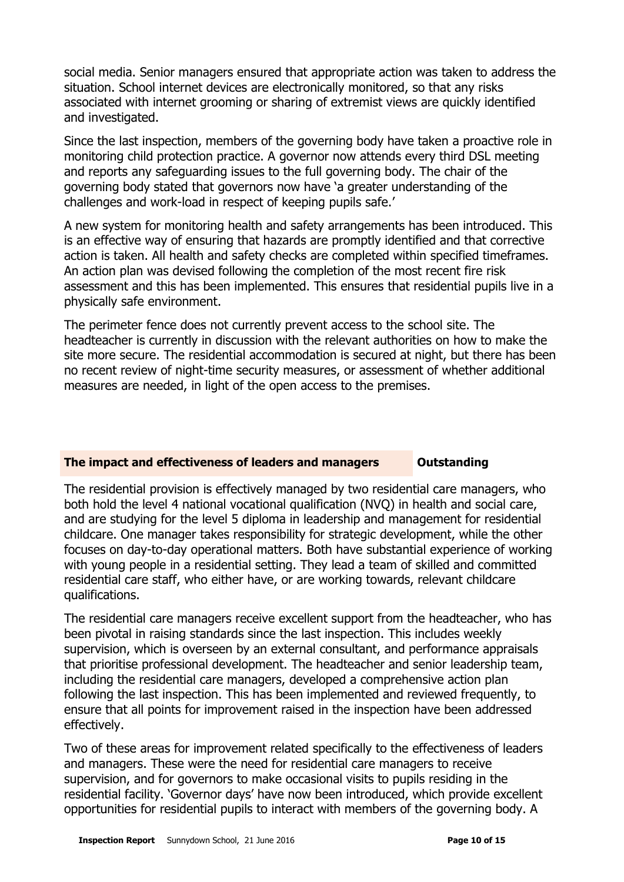social media. Senior managers ensured that appropriate action was taken to address the situation. School internet devices are electronically monitored, so that any risks associated with internet grooming or sharing of extremist views are quickly identified and investigated.

Since the last inspection, members of the governing body have taken a proactive role in monitoring child protection practice. A governor now attends every third DSL meeting and reports any safeguarding issues to the full governing body. The chair of the governing body stated that governors now have 'a greater understanding of the challenges and work-load in respect of keeping pupils safe.'

A new system for monitoring health and safety arrangements has been introduced. This is an effective way of ensuring that hazards are promptly identified and that corrective action is taken. All health and safety checks are completed within specified timeframes. An action plan was devised following the completion of the most recent fire risk assessment and this has been implemented. This ensures that residential pupils live in a physically safe environment.

The perimeter fence does not currently prevent access to the school site. The headteacher is currently in discussion with the relevant authorities on how to make the site more secure. The residential accommodation is secured at night, but there has been no recent review of night-time security measures, or assessment of whether additional measures are needed, in light of the open access to the premises.

## **The impact and effectiveness of leaders and managers Outstanding**

The residential provision is effectively managed by two residential care managers, who both hold the level 4 national vocational qualification (NVQ) in health and social care, and are studying for the level 5 diploma in leadership and management for residential childcare. One manager takes responsibility for strategic development, while the other focuses on day-to-day operational matters. Both have substantial experience of working with young people in a residential setting. They lead a team of skilled and committed residential care staff, who either have, or are working towards, relevant childcare qualifications.

The residential care managers receive excellent support from the headteacher, who has been pivotal in raising standards since the last inspection. This includes weekly supervision, which is overseen by an external consultant, and performance appraisals that prioritise professional development. The headteacher and senior leadership team, including the residential care managers, developed a comprehensive action plan following the last inspection. This has been implemented and reviewed frequently, to ensure that all points for improvement raised in the inspection have been addressed effectively.

Two of these areas for improvement related specifically to the effectiveness of leaders and managers. These were the need for residential care managers to receive supervision, and for governors to make occasional visits to pupils residing in the residential facility. 'Governor days' have now been introduced, which provide excellent opportunities for residential pupils to interact with members of the governing body. A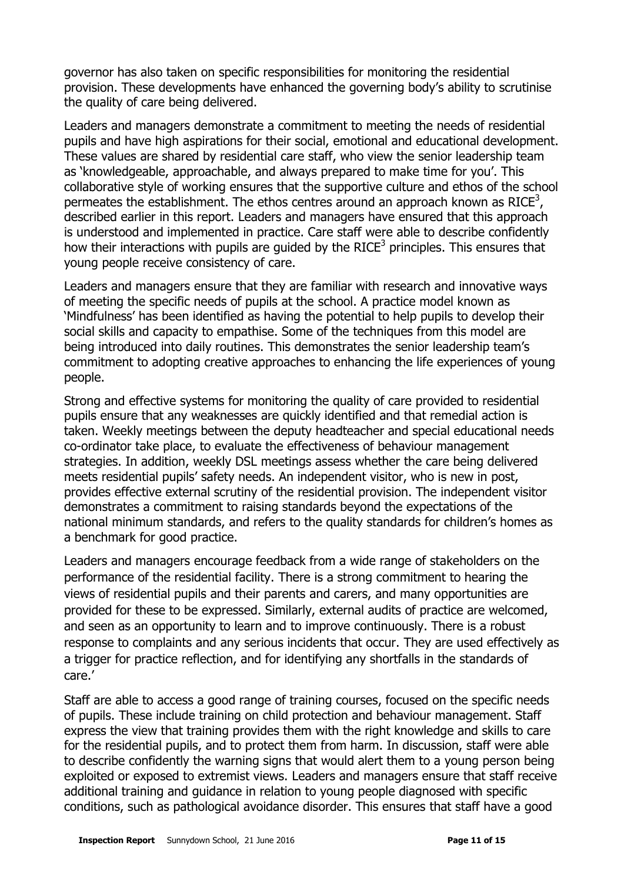governor has also taken on specific responsibilities for monitoring the residential provision. These developments have enhanced the governing body's ability to scrutinise the quality of care being delivered.

Leaders and managers demonstrate a commitment to meeting the needs of residential pupils and have high aspirations for their social, emotional and educational development. These values are shared by residential care staff, who view the senior leadership team as 'knowledgeable, approachable, and always prepared to make time for you'. This collaborative style of working ensures that the supportive culture and ethos of the school permeates the establishment. The ethos centres around an approach known as RICE<sup>3</sup>, described earlier in this report. Leaders and managers have ensured that this approach is understood and implemented in practice. Care staff were able to describe confidently how their interactions with pupils are guided by the RICE<sup>3</sup> principles. This ensures that young people receive consistency of care.

Leaders and managers ensure that they are familiar with research and innovative ways of meeting the specific needs of pupils at the school. A practice model known as 'Mindfulness' has been identified as having the potential to help pupils to develop their social skills and capacity to empathise. Some of the techniques from this model are being introduced into daily routines. This demonstrates the senior leadership team's commitment to adopting creative approaches to enhancing the life experiences of young people.

Strong and effective systems for monitoring the quality of care provided to residential pupils ensure that any weaknesses are quickly identified and that remedial action is taken. Weekly meetings between the deputy headteacher and special educational needs co-ordinator take place, to evaluate the effectiveness of behaviour management strategies. In addition, weekly DSL meetings assess whether the care being delivered meets residential pupils' safety needs. An independent visitor, who is new in post, provides effective external scrutiny of the residential provision. The independent visitor demonstrates a commitment to raising standards beyond the expectations of the national minimum standards, and refers to the quality standards for children's homes as a benchmark for good practice.

Leaders and managers encourage feedback from a wide range of stakeholders on the performance of the residential facility. There is a strong commitment to hearing the views of residential pupils and their parents and carers, and many opportunities are provided for these to be expressed. Similarly, external audits of practice are welcomed, and seen as an opportunity to learn and to improve continuously. There is a robust response to complaints and any serious incidents that occur. They are used effectively as a trigger for practice reflection, and for identifying any shortfalls in the standards of care.'

Staff are able to access a good range of training courses, focused on the specific needs of pupils. These include training on child protection and behaviour management. Staff express the view that training provides them with the right knowledge and skills to care for the residential pupils, and to protect them from harm. In discussion, staff were able to describe confidently the warning signs that would alert them to a young person being exploited or exposed to extremist views. Leaders and managers ensure that staff receive additional training and guidance in relation to young people diagnosed with specific conditions, such as pathological avoidance disorder. This ensures that staff have a good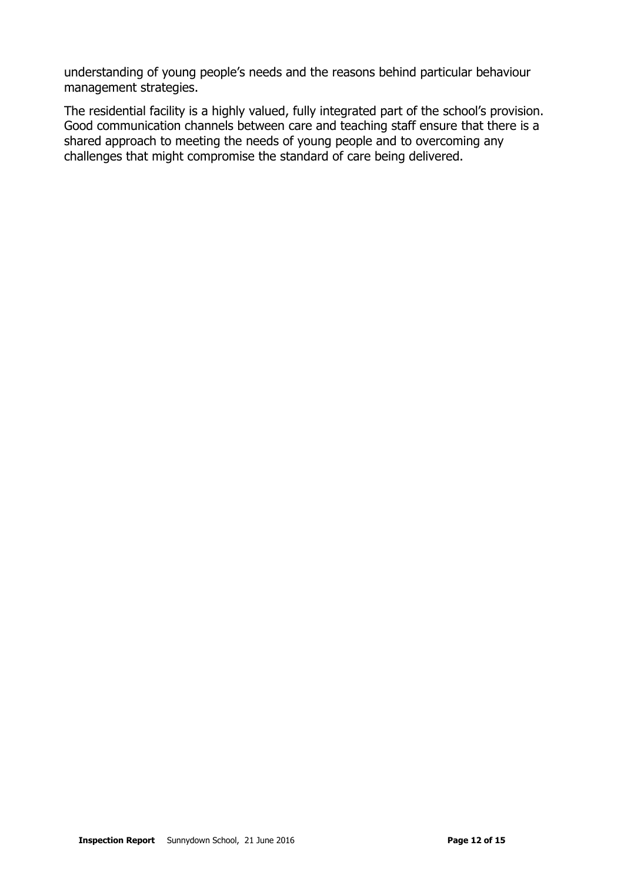understanding of young people's needs and the reasons behind particular behaviour management strategies.

The residential facility is a highly valued, fully integrated part of the school's provision. Good communication channels between care and teaching staff ensure that there is a shared approach to meeting the needs of young people and to overcoming any challenges that might compromise the standard of care being delivered.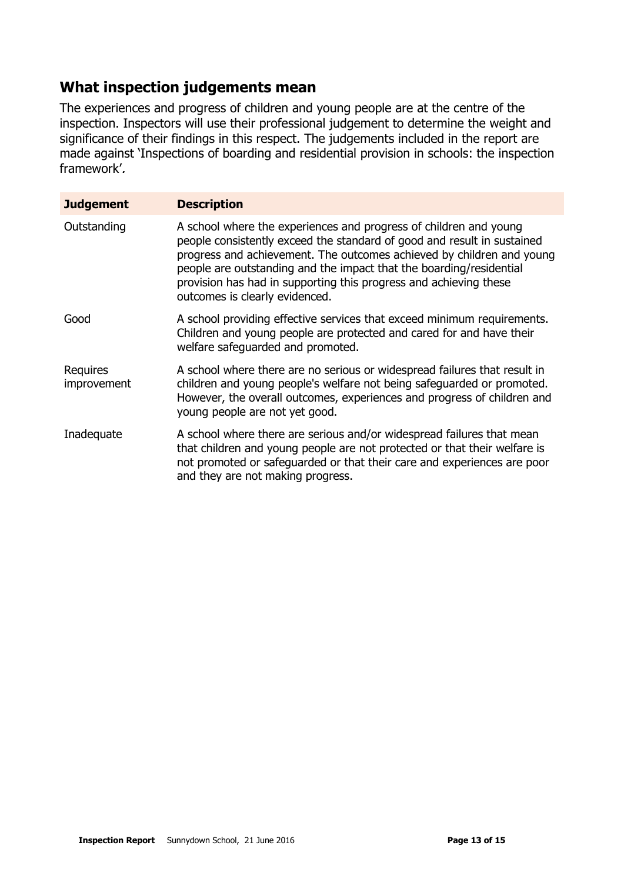# **What inspection judgements mean**

The experiences and progress of children and young people are at the centre of the inspection. Inspectors will use their professional judgement to determine the weight and significance of their findings in this respect. The judgements included in the report are made against 'Inspections of boarding and residential provision in schools: the inspection framework'.

| <b>Judgement</b>        | <b>Description</b>                                                                                                                                                                                                                                                                                                                                                                                  |
|-------------------------|-----------------------------------------------------------------------------------------------------------------------------------------------------------------------------------------------------------------------------------------------------------------------------------------------------------------------------------------------------------------------------------------------------|
| Outstanding             | A school where the experiences and progress of children and young<br>people consistently exceed the standard of good and result in sustained<br>progress and achievement. The outcomes achieved by children and young<br>people are outstanding and the impact that the boarding/residential<br>provision has had in supporting this progress and achieving these<br>outcomes is clearly evidenced. |
| Good                    | A school providing effective services that exceed minimum requirements.<br>Children and young people are protected and cared for and have their<br>welfare safeguarded and promoted.                                                                                                                                                                                                                |
| Requires<br>improvement | A school where there are no serious or widespread failures that result in<br>children and young people's welfare not being safeguarded or promoted.<br>However, the overall outcomes, experiences and progress of children and<br>young people are not yet good.                                                                                                                                    |
| Inadequate              | A school where there are serious and/or widespread failures that mean<br>that children and young people are not protected or that their welfare is<br>not promoted or safeguarded or that their care and experiences are poor<br>and they are not making progress.                                                                                                                                  |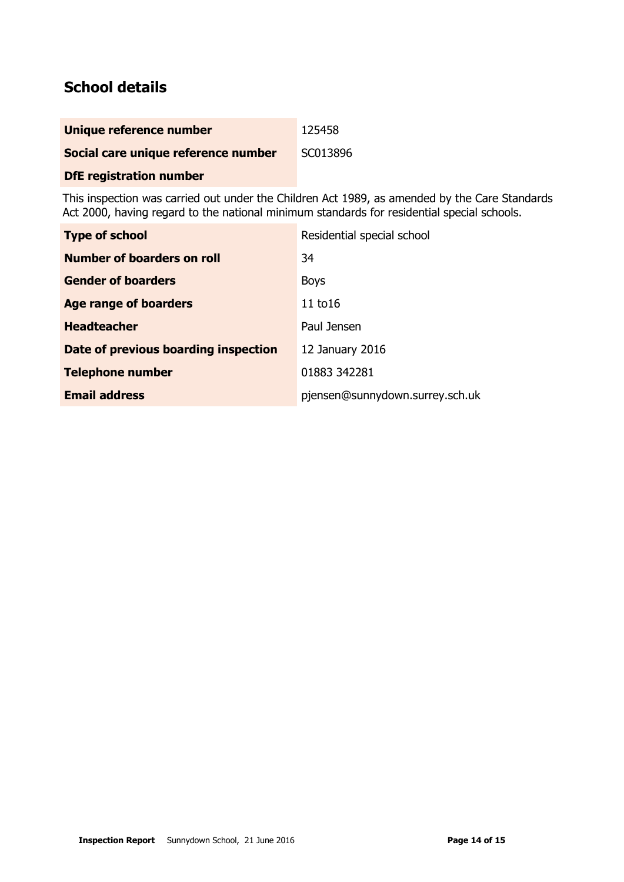# **School details**

| Unique reference number             | 125458   |
|-------------------------------------|----------|
| Social care unique reference number | SC013896 |

### **DfE registration number**

This inspection was carried out under the Children Act 1989, as amended by the Care Standards Act 2000, having regard to the national minimum standards for residential special schools.

| <b>Type of school</b>                | Residential special school      |
|--------------------------------------|---------------------------------|
| Number of boarders on roll           | 34                              |
| <b>Gender of boarders</b>            | <b>Boys</b>                     |
| Age range of boarders                | 11 $t$ o16                      |
| <b>Headteacher</b>                   | Paul Jensen                     |
| Date of previous boarding inspection | 12 January 2016                 |
| <b>Telephone number</b>              | 01883 342281                    |
| <b>Email address</b>                 | pjensen@sunnydown.surrey.sch.uk |